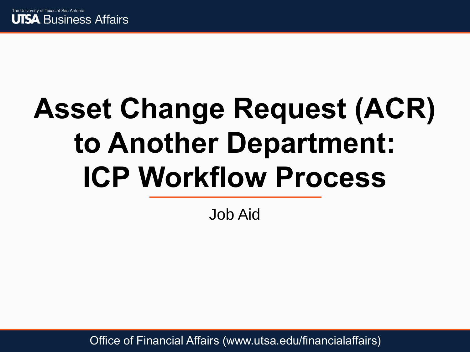

# **Asset Change Request (ACR) to Another Department: ICP Workflow Process**

Job Aid

Office of Financial Affairs (www.utsa.edu/financialaffairs)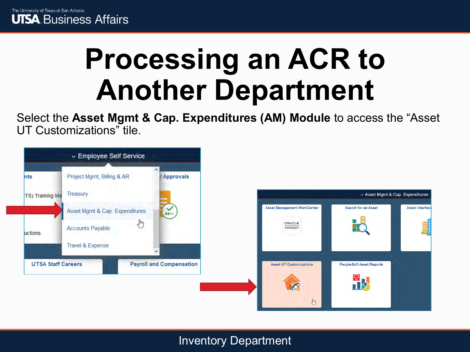

### **Processing an ACR to Another Department**

Select the **Asset Mgmt & Cap. Expenditures (AM) Module** to access the "Asset UT Customizations" tile.

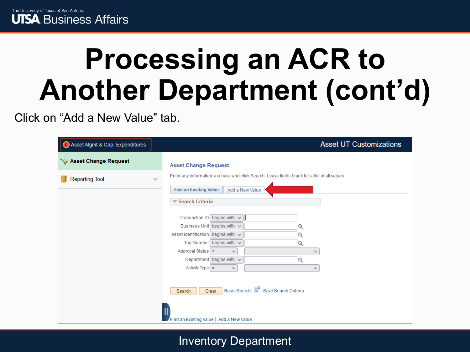

Click on "Add a New Value" tab.

| Asset Mgmt & Cap. Expenditures | <b>Asset UT Customizations</b>                                                                                                                                                                                                                                                                     |
|--------------------------------|----------------------------------------------------------------------------------------------------------------------------------------------------------------------------------------------------------------------------------------------------------------------------------------------------|
| Sex Asset Change Request       | <b>Asset Change Request</b>                                                                                                                                                                                                                                                                        |
| <b>Reporting Tool</b>          | Enter any information you have and click Search. Leave fields blank for a list of all values.<br>$\checkmark$<br><b>Find an Existing Value</b><br>Add a New Value<br>Search Criteria                                                                                                               |
|                                | Transaction ID begins with $\sim$<br>Business Unit begins with v<br>Q<br>Asset Identification begins with $\sim$<br>Q<br>Tag Number begins with $\sim$<br>Q<br>Approval Status $=$<br>$\checkmark$<br>v<br>Department begins with $\sim$<br>Q<br>Activity Type $=$<br>$\checkmark$<br>$\checkmark$ |
|                                | Basic Search <b>Q</b> Save Search Criteria<br>Clear<br>Search<br>Find an Existing Value   Add a New Value                                                                                                                                                                                          |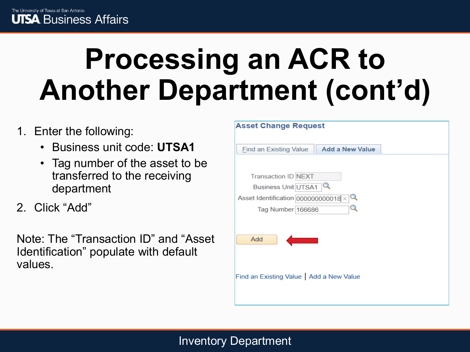- 1. Enter the following:
	- Business unit code: **UTSA1**
	- Tag number of the asset to be transferred to the receiving department
- 2. Click "Add"

Note: The "Transaction ID" and "Asset Identification" populate with default values.

| <b>Asset Change Request</b>                      |  |
|--------------------------------------------------|--|
| <b>Add a New Value</b><br>Find an Existing Value |  |
|                                                  |  |
| <b>Transaction ID NEXT</b>                       |  |
| <b>Business Unit UTSA1</b>                       |  |
| Asset Identification 0000000000018 $\times$ Q    |  |
| Tag Number 166686                                |  |
|                                                  |  |
| Add                                              |  |
|                                                  |  |
|                                                  |  |
|                                                  |  |
| Find an Existing Value   Add a New Value         |  |
|                                                  |  |
|                                                  |  |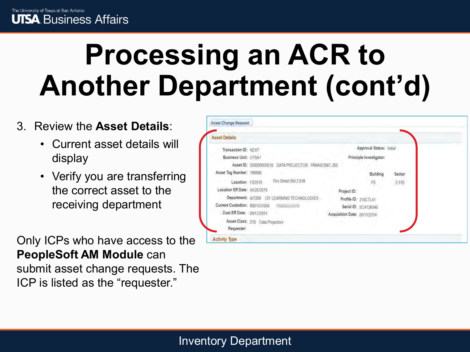### 3. Review the **Asset Details**:

- Current asset details will display
- Verify you are transferring the correct asset to the receiving department

Only ICPs who have access to the **PeopleSoft AM Module** can submit asset change requests. The ICP is listed as the "requester."

| <b>Asset Details</b>                               |                              |                          |        |
|----------------------------------------------------|------------------------------|--------------------------|--------|
| Transaction ID: NEXT                               |                              | Approval Status; Initial |        |
| Business Unit: UTSA1                               |                              | Principle Investigator:  |        |
| Asset ID: 00000000018 DATA PROJECTOR PANASONIC 350 |                              |                          |        |
| Asset Tag Number: 166686                           |                              | Building                 | Sector |
| Frio Street Bld 2.516<br>Location: FS2516          |                              | FS                       | 2516   |
| Location Eff Date: 04/25/2019                      | Project ID:                  |                          |        |
| Department: AIT006 OIT LEARNING TECHNOLOGIES       | Profile ID: 218CTL41         |                          |        |
| Current Custodian: 600 (control) (contractor of    | Serial ID: SC4136048         |                          |        |
| Cust Eff Date: 06/12/2014                          | Acquisition Date: 06/11/2014 |                          |        |
| Asset Class: 218 Data Projectors                   |                              |                          |        |
| Requester:                                         |                              |                          |        |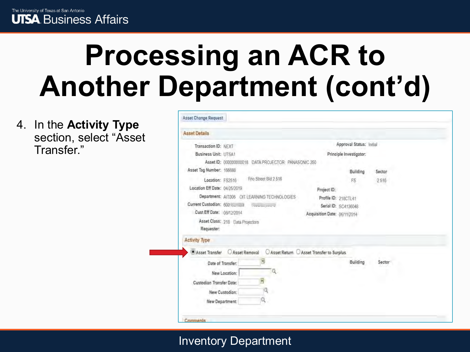

4. In the **Activity Type**  section, select "Asset Transfer."

| Transaction ID: NEXT                                |                                            | Approval Status: Initial |        |  |
|-----------------------------------------------------|--------------------------------------------|--------------------------|--------|--|
| <b>Business Unit: UTSA1</b>                         |                                            | Principle Investigator:  |        |  |
| Asset ID: 000000000018 DATA PROJECTOR PANASONIC 350 |                                            |                          |        |  |
| Asset Tag Number: 166686                            |                                            | Building                 | Sector |  |
| Frio Street Bld 2.516<br>Location: FS2516           |                                            | FS                       | 2516   |  |
| Location Eff Date: 04/25/2019                       | Project ID:                                |                          |        |  |
| Department: AIT006 OIT LEARNING TECHNOLOGIES        |                                            | Profile ID: 218CTL41     |        |  |
|                                                     |                                            | Serial ID: SC4136048     |        |  |
| Cust Eff Date: 06/12/2014                           | Acquisition Date: 06/11/2014               |                          |        |  |
| Asset Class: 218 Data Projectors                    |                                            |                          |        |  |
|                                                     |                                            |                          |        |  |
| Requester:                                          |                                            |                          |        |  |
| <b>Activity Type</b>                                |                                            |                          |        |  |
| Asset Transfer Asset Removal                        | ○ Asset Return ○ Asset Transfer to Surplus |                          |        |  |
| w<br>Date of Transfer:                              |                                            | Building                 | Sector |  |
| Q.<br>New Location:                                 |                                            |                          |        |  |
|                                                     |                                            |                          |        |  |
| Custodian Transfer Date:                            |                                            |                          |        |  |
| New Custodian:<br>New Department:                   |                                            |                          |        |  |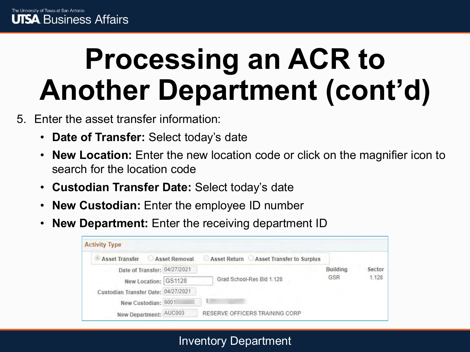- 5. Enter the asset transfer information:
	- **Date of Transfer:** Select today's date
	- **New Location:** Enter the new location code or click on the magnifier icon to search for the location code
	- **Custodian Transfer Date:** Select today's date
	- **New Custodian:** Enter the employee ID number
	- **New Department:** Enter the receiving department ID

| <b>Activity Type</b>                |               |                                        |                 |        |
|-------------------------------------|---------------|----------------------------------------|-----------------|--------|
| Asset Transfer                      | Asset Removal | Asset Return Asset Transfer to Surplus |                 |        |
| Date of Transfer: 04/27/2021        |               |                                        | <b>Building</b> | Sector |
| New Location: GS1128                |               | Grad School-Res Bld 1.128              | GSR             | 1.128  |
| Custodian Transfer Date: 04/27/2021 |               |                                        |                 |        |
| New Custodian: 6001                 |               | m                                      |                 |        |
| New Department: AUC003              |               | RESERVE OFFICERS TRAINING CORP         |                 |        |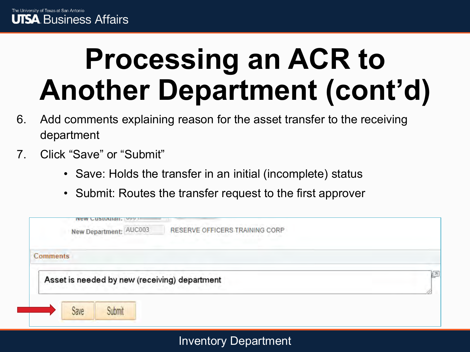- 6. Add comments explaining reason for the asset transfer to the receiving department
- 7. Click "Save" or "Submit"
	- Save: Holds the transfer in an initial (incomplete) status
	- Submit: Routes the transfer request to the first approver